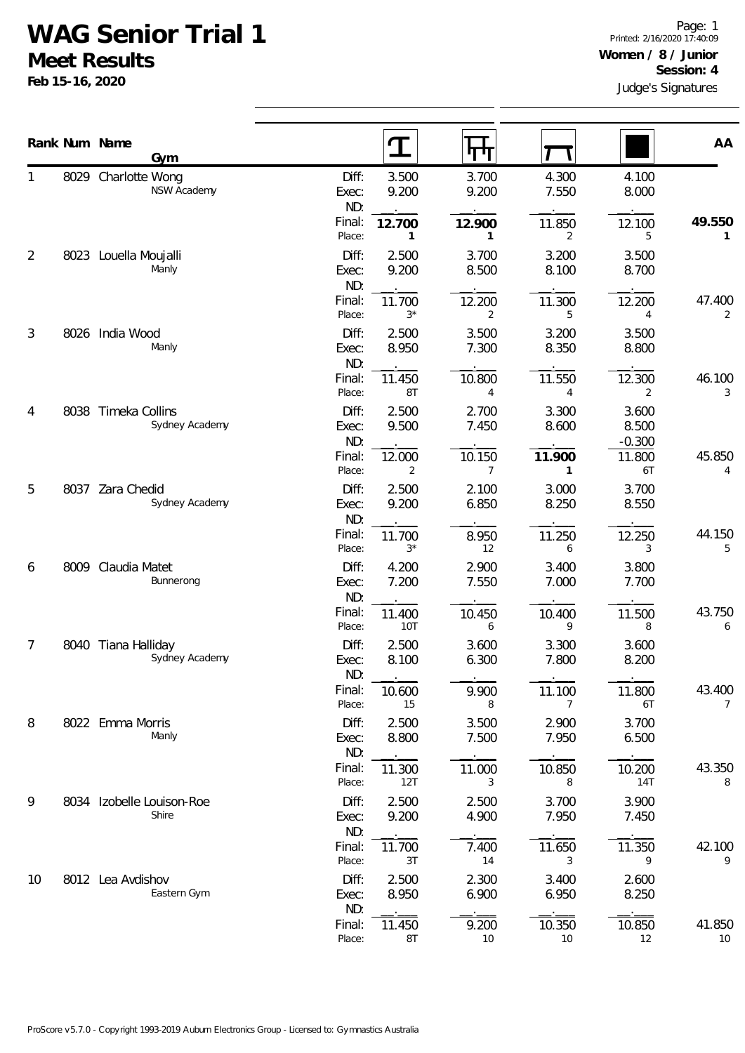## **WAG Senior Trial 1**

**Gym**

NSW Academy

8029 Charlotte Wong

**Meet Results Feb 15-16, 2020**

1

Judge's Signatures Page: 1 Printed: 2/16/2020 17:40:09 **Women / 8 / Junior Session: 4**

|                |                                       | Final:<br>Place:        | 12.700<br>$\mathbf{1}$  | 12.900<br>1              | 11.850<br>2            | 12.100<br>5                | 49.550<br>$\mathbf{1}$   |
|----------------|---------------------------------------|-------------------------|-------------------------|--------------------------|------------------------|----------------------------|--------------------------|
| $\overline{2}$ | 8023 Louella Moujalli<br>Manly        | Diff:<br>Exec:          | 2.500<br>9.200          | 3.700<br>8.500           | 3.200<br>8.100         | 3.500<br>8.700             |                          |
|                |                                       | ND:<br>Final:<br>Place: | 11.700<br>$3^{\star}$   | 12.200<br>2              | 11.300<br>5            | 12.200<br>4                | 47.400<br>2              |
| 3              | 8026 India Wood<br>Manly              | Diff:<br>Exec:<br>ND:   | 2.500<br>8.950          | 3.500<br>7.300           | 3.200<br>8.350         | 3.500<br>8.800             |                          |
|                |                                       | Final:<br>Place:        | 11.450<br>8T            | 10.800<br>4              | 11.550<br>4            | 12.300<br>2                | 46.100<br>3              |
| 4              | 8038 Timeka Collins<br>Sydney Academy | Diff:<br>Exec:<br>ND:   | 2.500<br>9.500          | 2.700<br>7.450           | 3.300<br>8.600         | 3.600<br>8.500<br>$-0.300$ |                          |
|                |                                       | Final:<br>Place:        | 12.000<br>2             | 10.150<br>$\overline{7}$ | 11.900<br>$\mathbf{1}$ | 11.800<br>6T               | 45.850<br>4              |
| 5              | 8037 Zara Chedid<br>Sydney Academy    | Diff:<br>Exec:<br>ND:   | 2.500<br>9.200          | 2.100<br>6.850           | 3.000<br>8.250         | 3.700<br>8.550             |                          |
|                |                                       | Final:<br>Place:        | 11.700<br>$3*$          | 8.950<br>12              | 11.250<br>6            | 12.250<br>3                | 44.150<br>5              |
| 6              | 8009 Claudia Matet<br>Bunnerong       | Diff:<br>Exec:<br>ND:   | 4.200<br>7.200          | 2.900<br>7.550           | 3.400<br>7.000         | 3.800<br>7.700             |                          |
|                |                                       | Final:<br>Place:        | 11.400<br>10T           | 10.450<br>6              | 10.400<br>9            | 11.500<br>8                | 43.750<br>6              |
| 7              | 8040 Tiana Halliday<br>Sydney Academy | Diff:<br>Exec:<br>ND:   | 2.500<br>8.100          | 3.600<br>6.300           | 3.300<br>7.800         | 3.600<br>8.200             |                          |
|                |                                       | Final:<br>Place:        | 10.600<br>15            | 9.900<br>8               | 11.100<br>7            | 11.800<br>6T               | 43.400<br>$\overline{7}$ |
| 8              | 8022 Emma Morris<br>Manly             | Diff:<br>Exec:<br>ND:   | 2.500<br>8.800          | 3.500<br>7.500           | 2.900<br>7.950         | 3.700<br>6.500             |                          |
|                |                                       | Final:<br>Place:        | 11.300<br>12T           | 11.000<br>3              | 10.850<br>8            | 10.200<br>14T              | 43.350<br>8              |
| 9              | 8034 Izobelle Louison-Roe<br>Shire    | Diff:<br>Exec:<br>ND:   | 2.500<br>9.200          | 2.500<br>4.900           | 3.700<br>7.950         | 3.900<br>7.450             |                          |
|                |                                       | Final:<br>Place:        | 11.700<br>$3\mathsf{T}$ | 7.400<br>$14$            | 11.650<br>3            | 11.350<br>9                | 42.100<br>9              |
| 10             | 8012 Lea Avdishov<br>Eastern Gym      | Diff:<br>Exec:<br>ND:   | 2.500<br>8.950          | 2.300<br>6.900           | 3.400<br>6.950         | 2.600<br>8.250             |                          |
|                |                                       | Final:<br>Place:        | 11.450<br>8T            | 9.200<br>10              | 10.350<br>10           | 10.850<br>12               | 41.850<br>10             |

**Rank Num Name AA** 

Diff: 3.500 3.700 4.300 4.100 Exec: 9.200 9.200 7.550 8.000 ND: \_\_.\_\_\_ \_\_.\_\_\_ \_\_.\_\_\_ \_\_.\_\_\_